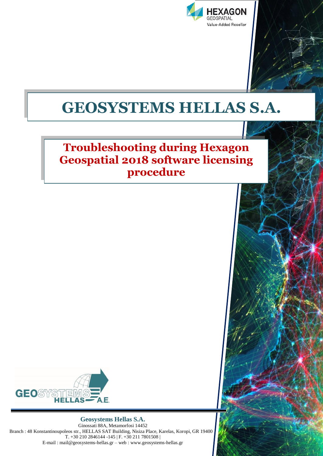

## **GEOSYSTEMS HELLAS S.A.**

## **Troubleshooting during Hexagon Geospatial 2018 software licensing procedure**



**Geosystems Hellas S.A.**

Ginossati 88Α, Metamorfosi 14452 Branch : 48 Konstantinoupoleos str., HELLAS SAT Building, Nisiza Place, Karelas, Koropi, GR 19400 T. +30 210 2846144 -145 | F. +30 211 7801508 | E-mail : [mail@geosystems-hellas.gr](mailto:mail@geosystems-hellas.gr) – web [: www.geosystems-hellas.gr](http://www.geosystems-hellas.gr/)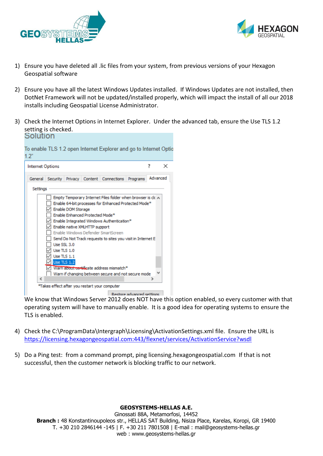



- 1) Ensure you have deleted all .lic files from your system, from previous versions of your Hexagon Geospatial software
- 2) Ensure you have all the latest Windows Updates installed. If Windows Updates are not installed, then DotNet Framework will not be updated/installed properly, which will impact the install of all our 2018 installs including Geospatial License Administrator.
- 3) Check the Internet Options in Internet Explorer. Under the advanced tab, ensure the Use TLS 1.2 setting is checked.<br>Solution

|          | <b>Internet Options</b> |                    |                                 |                                                             | 7        | × |
|----------|-------------------------|--------------------|---------------------------------|-------------------------------------------------------------|----------|---|
|          |                         |                    |                                 | General Security Privacy Content Connections Programs       | Advanced |   |
| Settings |                         |                    |                                 |                                                             |          |   |
|          |                         |                    |                                 |                                                             |          |   |
|          |                         |                    |                                 | Empty Temporary Internet Files folder when browser is ck A  |          |   |
|          |                         | Enable DOM Storage |                                 | Enable 64-bit processes for Enhanced Protected Mode*        |          |   |
|          |                         |                    | Enable Enhanced Protected Mode* |                                                             |          |   |
|          |                         |                    |                                 | Enable Integrated Windows Authentication*                   |          |   |
|          |                         |                    | Enable native XMLHTTP support   |                                                             |          |   |
|          |                         |                    |                                 | Enable Windows Defender SmartScreen                         |          |   |
|          |                         |                    |                                 | Send Do Not Track requests to sites you visit in Internet E |          |   |
|          | <b>Use SSL 3.0</b>      |                    |                                 |                                                             |          |   |
|          | Use TLS 1.0             |                    |                                 |                                                             |          |   |
|          | Use TLS 1.1             |                    |                                 |                                                             |          |   |
|          | <b>Use TLS 1.2</b>      |                    |                                 |                                                             |          |   |
|          |                         |                    |                                 | Warn about certificate address mismatch*                    |          |   |
|          |                         |                    |                                 | Warn if changing between secure and not secure mode         |          |   |
| €        |                         |                    |                                 |                                                             |          |   |

 $\mathbf{r}$  and  $\mathbf{r}$  and  $\mathbf{r}$  and  $\mathbf{r}$  are the set of  $\mathbf{r}$  and  $\mathbf{r}$ 

We know that Windows Server 2012 does NOT have this option enabled, so every customer with that operating system will have to manually enable. It is a good idea for operating systems to ensure the TLS is enabled.

- 4) Check the C:\ProgramData\Intergraph\Licensing\ActivationSettings.xml file. Ensure the URL is [https://licensing.hexagongeospatial.com:443/flexnet/services/ActivationService?wsdl](https://licensing.hexagongeospatial.com/flexnet/services/ActivationService?wsdl)
- 5) Do a Ping test: from a command prompt, ping licensing.hexagongeospatial.com If that is not successful, then the customer network is blocking traffic to our network.

**GEOSYSTEMS-HELLAS Α.Ε.**

Ginossati 88Α, Metamorfosi, 14452 **Branch :** 48 Konstantinoupoleos str., HELLAS SAT Building, Nisiza Place, Karelas, Koropi, GR 19400 T. +30 210 2846144 -145 | F. +30 211 7801508 | E-mail : mail@geosystems-hellas.gr web : www.geosystems-hellas.gr